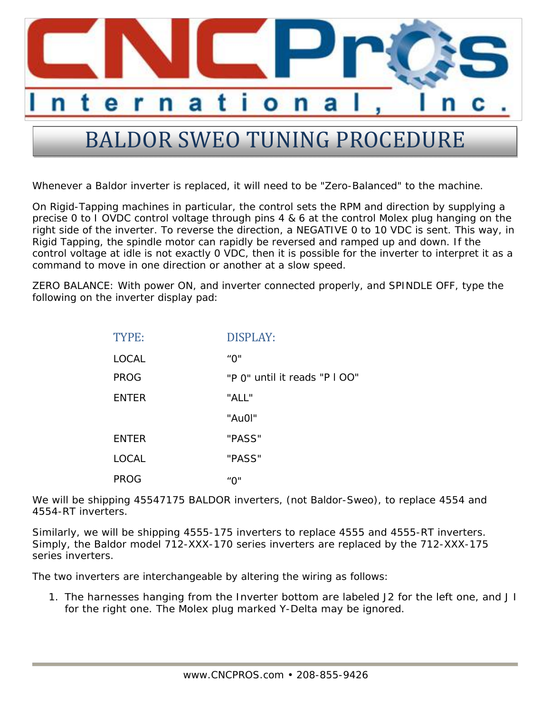

## BALDOR SWEO TUNING PROCEDURE

Whenever a Baldor inverter is replaced, it will need to be "Zero-Balanced" to the machine.

On Rigid-Tapping machines in particular, the control sets the RPM and direction by supplying a precise 0 to I OVDC control voltage through pins 4 & 6 at the control Molex plug hanging on the right side of the inverter. To reverse the direction, a NEGATIVE 0 to 10 VDC is sent. This way, in Rigid Tapping, the spindle motor can rapidly be reversed and ramped up and down. If the control voltage at idle is not exactly 0 VDC, then it is possible for the inverter to interpret it as a command to move in one direction or another at a slow speed.

ZERO BALANCE: With power ON, and inverter connected properly, and SPINDLE OFF, type the following on the inverter display pad:

| TYPE:        | <b>DISPLAY:</b>               |
|--------------|-------------------------------|
| <b>LOCAL</b> | "በ"                           |
| <b>PROG</b>  | "P 0" until it reads "P I OO" |
| <b>ENTER</b> | "ALL"                         |
|              | "Au0I"                        |
| <b>ENTER</b> | "PASS"                        |
| <b>LOCAL</b> | "PASS"                        |
| PROG         | "በ"                           |

We will be shipping 45547175 BALDOR inverters, (not Baldor-Sweo), to replace 4554 and 4554-RT inverters.

Similarly, we will be shipping 4555-175 inverters to replace 4555 and 4555-RT inverters. Simply, the Baldor model 712-XXX-170 series inverters are replaced by the 712-XXX-175 series inverters.

The two inverters are interchangeable by altering the wiring as follows:

1. The harnesses hanging from the Inverter bottom are labeled J2 for the left one, and J I for the right one. The Molex plug marked Y-Delta may be ignored.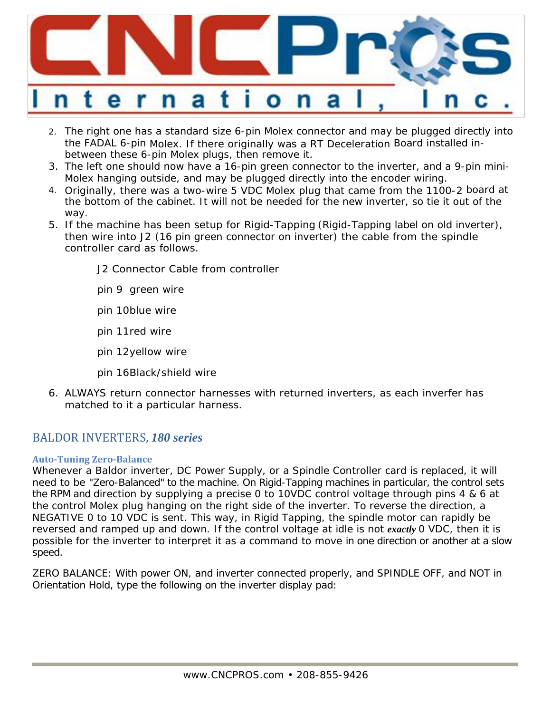

- 2. The right one has a standard size 6-pin Molex connector and may be plugged directly into the FADAL 6-pin Molex. If there originally was a RT Deceleration Board installed inbetween these 6-pin Molex plugs, then remove it.
- 3. The left one should now have a 16-pin green connector to the inverter, and a 9-pin mini-Molex hanging outside, and may be plugged directly into the encoder wiring.
- 4. Originally, there was a two-wire 5 VDC Molex plug that came from the 1100-2 board at the bottom of the cabinet. It will not be needed for the new inverter, so tie it out of the way.
- 5. If the machine has been setup for Rigid-Tapping (Rigid-Tapping label on old inverter), then wire into J2 (16 pin green connector on inverter) the cable from the spindle controller card as follows.

J2 Connector Cable from controller

pin 9 green wire

pin 10 blue wire

pin 11 red wire

pin 12 yellow wire

pin 16 Black/shield wire

6. ALWAYS return connector harnesses with returned inverters, as each inverfer has matched to it a particular harness.

## BALDOR INVERTERS, 180 series

## **Auto‐Tuning Zero‐Balance**

Whenever a Baldor inverter, DC Power Supply, or a Spindle Controller card is replaced, it will need to be "Zero-Balanced" to the machine. On Rigid-Tapping machines in particular, the control sets the RPM and direction by supplying a precise 0 to 10VDC control voltage through pins 4 & 6 at the control Molex plug hanging on the right side of the inverter. To reverse the direction, a NEGATIVE 0 to 10 VDC is sent. This way, in Rigid Tapping, the spindle motor can rapidly be reversed and ramped up and down. If the control voltage at idle is not *exactly* 0 VDC, then it is possible for the inverter to interpret it as a command to move in one direction or another at a slow speed.

ZERO BALANCE: With power ON, and inverter connected properly, and SPINDLE OFF, and NOT in Orientation Hold, type the following on the inverter display pad: